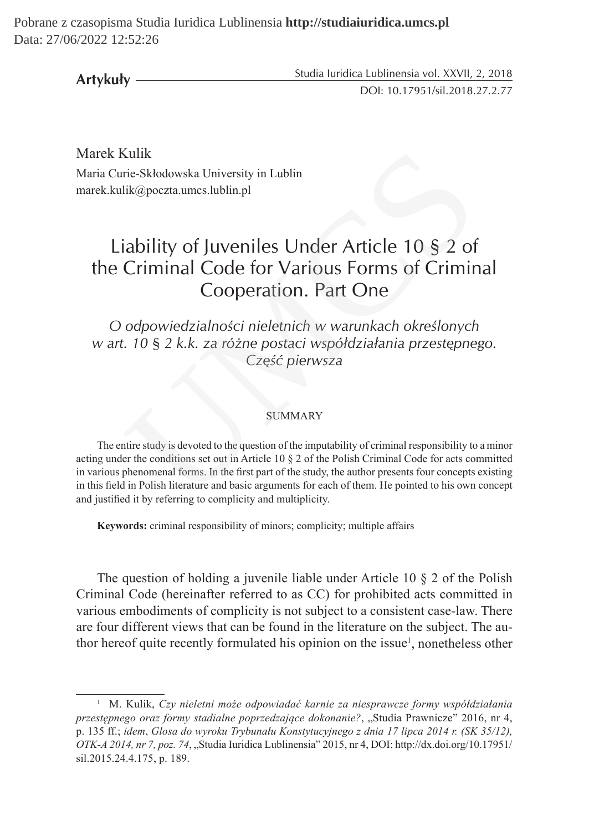Pobrane z czasopisma Studia Iuridica Lublinensia **http://studiaiuridica.umcs.pl** Data: 27/06/2022 12:52:26

Studia Iuridica Lublinensia vol. XXVII, 2, 2018 DOI: 10.17951/sil.2018.27.2.77 **Artykuły**

Marek Kulik Maria Curie-Skłodowska University in Lublin marek.kulik@poczta.umcs.lublin.pl

# Liability of Juveniles Under Article 10 § 2 of the Criminal Code for Various Forms of Criminal Cooperation. Part One

*O odpowiedzialności nieletnich w warunkach określonych w art. 10 § 2 k.k. za różne postaci współdziałania przestępnego. Część pierwsza*

# SUMMARY

The entire study is devoted to the question of the imputability of criminal responsibility to a minor acting under the conditions set out in Article 10 § 2 of the Polish Criminal Code for acts committed in various phenomenal forms. In the first part of the study, the author presents four concepts existing in this field in Polish literature and basic arguments for each of them. He pointed to his own concept and justified it by referring to complicity and multiplicity. Kulik<br>
ik@poczta.umcs.lublin.pl<br>
ik@poczta.umcs.lublin.pl<br>
ik@poczta.umcs.lublin.pl<br>
icability of Juveniles Under Article 10 § 2 of<br>
Criminal Code for Various Forms of Crimir<br>
Cooperation. Part One<br>
odpowiedzialności niele

**Keywords:** criminal responsibility of minors; complicity; multiple affairs

The question of holding a juvenile liable under Article 10 § 2 of the Polish Criminal Code (hereinafter referred to as CC) for prohibited acts committed in various embodiments of complicity is not subject to a consistent case-law. There are four different views that can be found in the literature on the subject. The author hereof quite recently formulated his opinion on the issue<sup>1</sup>, nonetheless other

<sup>1</sup> M. Kulik, *Czy nieletni może odpowiadać karnie za niesprawcze formy współdziałania przestępnego oraz formy stadialne poprzedzające dokonanie?*, "Studia Prawnicze" 2016, nr 4, p. 135 ff.; *idem*, *Glosa do wyroku Trybunału Konstytucyjnego z dnia 17 lipca 2014 r. (SK 35/12), OTK-A 2014, nr 7, poz. 74*, "Studia Iuridica Lublinensia" 2015, nr 4, DOI: http://dx.doi.org/10.17951/ sil.2015.24.4.175, p. 189.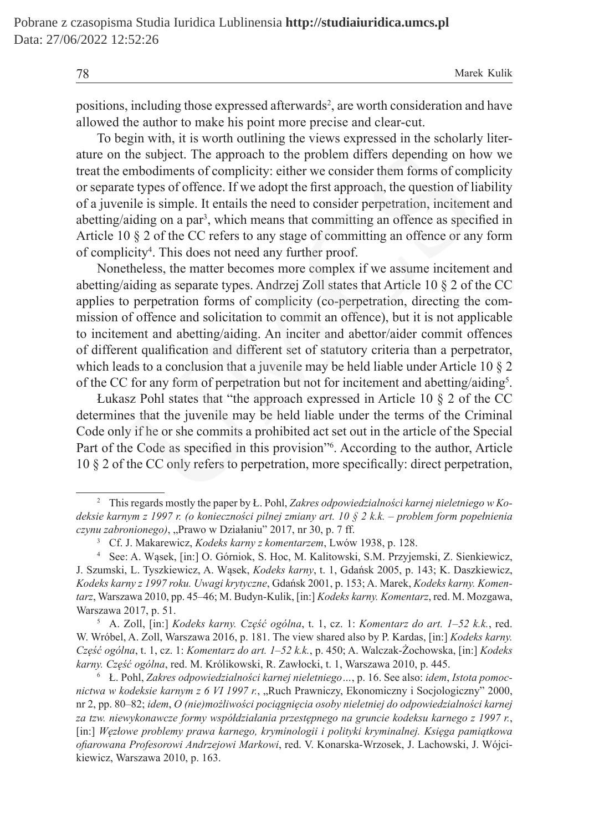78 Marek Kulik

positions, including those expressed afterwards<sup>2</sup>, are worth consideration and have allowed the author to make his point more precise and clear-cut.

To begin with, it is worth outlining the views expressed in the scholarly literature on the subject. The approach to the problem differs depending on how we treat the embodiments of complicity: either we consider them forms of complicity or separate types of offence. If we adopt the first approach, the question of liability of a juvenile is simple. It entails the need to consider perpetration, incitement and abetting/aiding on a par<sup>3</sup>, which means that committing an offence as specified in Article 10 § 2 of the CC refers to any stage of committing an offence or any form of complicity<sup>4</sup>. This does not need any further proof.

Nonetheless, the matter becomes more complex if we assume incitement and abetting/aiding as separate types. Andrzej Zoll states that Article 10 § 2 of the CC applies to perpetration forms of complicity (co-perpetration, directing the commission of offence and solicitation to commit an offence), but it is not applicable to incitement and abetting/aiding. An inciter and abettor/aider commit offences of different qualification and different set of statutory criteria than a perpetrator, which leads to a conclusion that a juvenile may be held liable under Article 10 § 2 of the CC for any form of perpetration but not for incitement and abetting/aiding<sup>5</sup>. the subject. The approach to the problem differs depending on h<br>embodiments of complicity: either we consider them forms of com<br>te types of offence. If we adopt the first approach, the question of li<br>nile is simple. It en

Łukasz Pohl states that "the approach expressed in Article 10 § 2 of the CC determines that the juvenile may be held liable under the terms of the Criminal Code only if he or she commits a prohibited act set out in the article of the Special Part of the Code as specified in this provision"<sup>6</sup>. According to the author, Article 10 § 2 of the CC only refers to perpetration, more specifically: direct perpetration,

<sup>5</sup> A. Zoll, [in:] *Kodeks karny. Część ogólna*, t. 1, cz. 1: *Komentarz do art. 1–52 k.k.*, red. W. Wróbel, A. Zoll, Warszawa 2016, p. 181. The view shared also by P. Kardas, [in:] *Kodeks karny. Część ogólna*, t. 1, cz. 1: *Komentarz do art. 1–52 k.k.*, p. 450; A. Walczak-Żochowska, [in:] *Kodeks karny. Część ogólna*, red. M. Królikowski, R. Zawłocki, t. 1, Warszawa 2010, p. 445.

<sup>2</sup> This regards mostly the paper by Ł. Pohl, *Zakres odpowiedzialności karnej nieletniego w Kodeksie karnym z 1997 r. (o konieczności pilnej zmiany art. 10 § 2 k.k. – problem form popełnienia czynu zabronionego)*, "Prawo w Działaniu" 2017, nr 30, p. 7 ff.

<sup>3</sup> Cf. J. Makarewicz, *Kodeks karny z komentarzem*, Lwów 1938, p. 128.

<sup>4</sup> See: A. Wąsek, [in:] O. Górniok, S. Hoc, M. Kalitowski, S.M. Przyjemski, Z. Sienkiewicz, J. Szumski, L. Tyszkiewicz, A. Wąsek, *Kodeks karny*, t. 1, Gdańsk 2005, p. 143; K. Daszkiewicz, *Kodeks karny z 1997 roku. Uwagi krytyczne*, Gdańsk 2001, p. 153; A. Marek, *Kodeks karny. Komentarz*, Warszawa 2010, pp. 45–46; M. Budyn-Kulik, [in:] *Kodeks karny. Komentarz*, red. M. Mozgawa, Warszawa 2017, p. 51.

<sup>6</sup> Ł. Pohl, *Zakres odpowiedzialności karnej nieletniego…*, p. 16. See also: *idem*, *Istota pomocnictwa w kodeksie karnym z 6 VI 1997 r.*, "Ruch Prawniczy, Ekonomiczny i Socjologiczny" 2000, nr 2, pp. 80–82; *idem*, *O (nie)możliwości pociągnięcia osoby nieletniej do odpowiedzialności karnej za tzw. niewykonawcze formy współdziałania przestępnego na gruncie kodeksu karnego z 1997 r.*, [in:] *Węzłowe problemy prawa karnego, kryminologii i polityki kryminalnej. Księga pamiątkowa ofiarowana Profesorowi Andrzejowi Markowi*, red. V. Konarska-Wrzosek, J. Lachowski, J. Wójcikiewicz, Warszawa 2010, p. 163.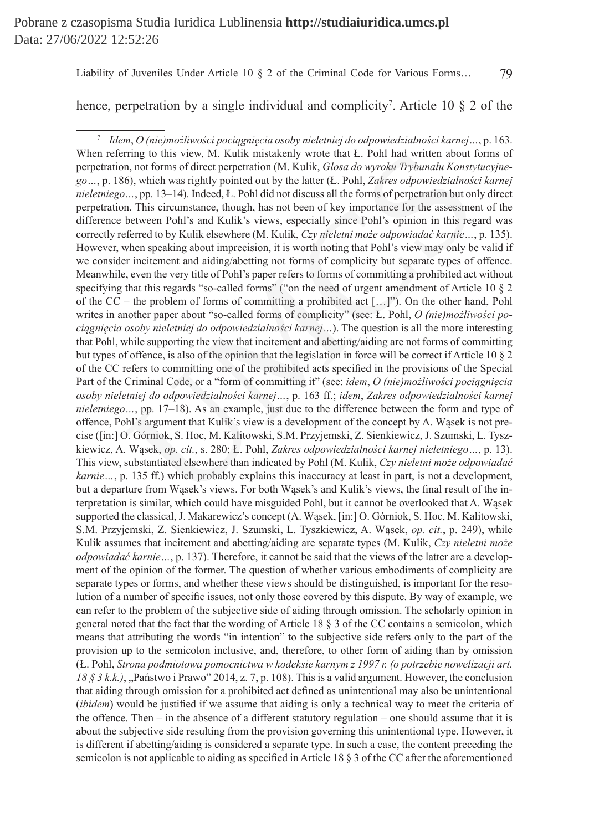# hence, perpetration by a single individual and complicity<sup>7</sup>. Article 10  $\S$  2 of the

<sup>7</sup> *Idem*, *O (nie)możliwości pociągnięcia osoby nieletniej do odpowiedzialności karnej…*, p. 163. When referring to this view, M. Kulik mistakenly wrote that L. Pohl had written about forms of perpetration, not forms of direct perpetration (M. Kulik, *Glosa do wyroku Trybunału Konstytucyjnego…*, p. 186), which was rightly pointed out by the latter (Ł. Pohl, *Zakres odpowiedzialności karnej nieletniego…*, pp. 13–14). Indeed, Ł. Pohl did not discuss all the forms of perpetration but only direct perpetration. This circumstance, though, has not been of key importance for the assessment of the difference between Pohl's and Kulik's views, especially since Pohl's opinion in this regard was correctly referred to by Kulik elsewhere (M. Kulik, *Czy nieletni może odpowiadać karnie…*, p. 135). However, when speaking about imprecision, it is worth noting that Pohl's view may only be valid if we consider incitement and aiding/abetting not forms of complicity but separate types of offence. Meanwhile, even the very title of Pohl's paper refers to forms of committing a prohibited act without specifying that this regards "so-called forms" ("on the need of urgent amendment of Article 10 § 2 of the  $CC$  – the problem of forms of committing a prohibited act  $[...]$ "). On the other hand, Pohl writes in another paper about "so-called forms of complicity" (see: Ł. Pohl, *O (nie)możliwości pociągnięcia osoby nieletniej do odpowiedzialności karnej…*). The question is all the more interesting that Pohl, while supporting the view that incitement and abetting/aiding are not forms of committing but types of offence, is also of the opinion that the legislation in force will be correct if Article 10 § 2 of the CC refers to committing one of the prohibited acts specified in the provisions of the Special Part of the Criminal Code, or a "form of committing it" (see: *idem*, *O (nie)możliwości pociągnięcia osoby nieletniej do odpowiedzialności karnej…*, p. 163 ff.; *idem*, *Zakres odpowiedzialności karnej nieletniego…*, pp. 17–18). As an example, just due to the difference between the form and type of offence, Pohl's argument that Kulik's view is a development of the concept by A. Wąsek is not precise ([in:] O. Górniok, S. Hoc, M. Kalitowski, S.M. Przyjemski, Z. Sienkiewicz, J. Szumski, L. Tyszkiewicz, A. Wąsek, *op. cit.*, s. 280; Ł. Pohl, *Zakres odpowiedzialności karnej nieletniego…*, p. 13). This view, substantiated elsewhere than indicated by Pohl (M. Kulik, *Czy nieletni może odpowiadać karnie*…, p. 135 ff.) which probably explains this inaccuracy at least in part, is not a development, but a departure from Wąsek's views. For both Wąsek's and Kulik's views, the final result of the interpretation is similar, which could have misguided Pohl, but it cannot be overlooked that A. Wąsek supported the classical, J. Makarewicz's concept (A. Wąsek, [in:] O. Górniok, S. Hoc, M. Kalitowski, S.M. Przyjemski, Z. Sienkiewicz, J. Szumski, L. Tyszkiewicz, A. Wąsek, *op. cit.*, p. 249), while Kulik assumes that incitement and abetting/aiding are separate types (M. Kulik, *Czy nieletni może odpowiadać karnie…*, p. 137). Therefore, it cannot be said that the views of the latter are a development of the opinion of the former. The question of whether various embodiments of complicity are separate types or forms, and whether these views should be distinguished, is important for the resolution of a number of specific issues, not only those covered by this dispute. By way of example, we can refer to the problem of the subjective side of aiding through omission. The scholarly opinion in general noted that the fact that the wording of Article 18 § 3 of the CC contains a semicolon, which means that attributing the words "in intention" to the subjective side refers only to the part of the provision up to the semicolon inclusive, and, therefore, to other form of aiding than by omission (Ł. Pohl, *Strona podmiotowa pomocnictwa w kodeksie karnym z 1997 r. (o potrzebie nowelizacji art.*   $18 \xi$  3 k.k.), "Państwo i Prawo" 2014, z. 7, p. 108). This is a valid argument. However, the conclusion that aiding through omission for a prohibited act defined as unintentional may also be unintentional (*ibidem*) would be justified if we assume that aiding is only a technical way to meet the criteria of the offence. Then – in the absence of a different statutory regulation – one should assume that it is about the subjective side resulting from the provision governing this unintentional type. However, it is different if abetting/aiding is considered a separate type. In such a case, the content preceding the semicolon is not applicable to aiding as specified in Article 18 § 3 of the CC after the aforementioned rring to this view, M. Kulik mistakenly wrote that L. Pohl had written about f<br>
2. The solution on the forms of direct perpetation (M. Kulik, *Glosa do wyroku Trybunalu Konsty*<br>
16), which was rightly pointed out by the l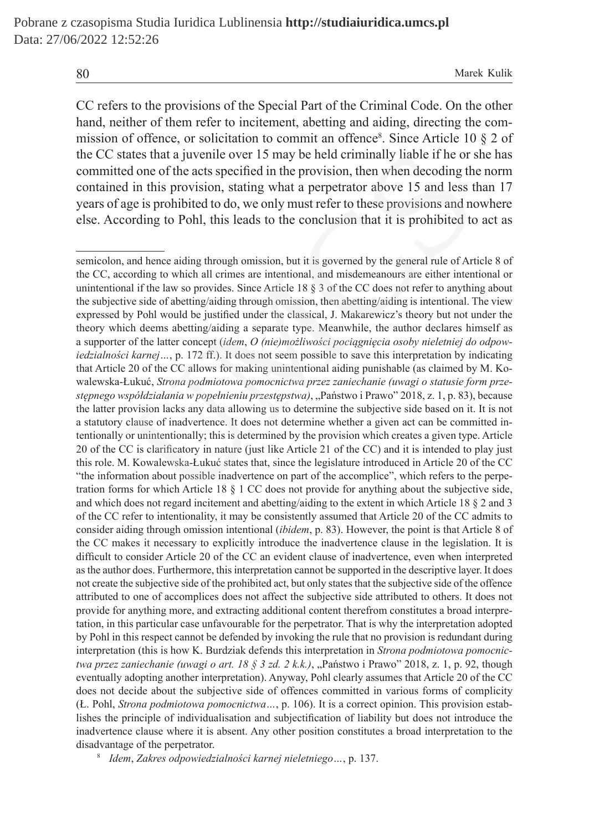80 Marek Kulik

CC refers to the provisions of the Special Part of the Criminal Code. On the other hand, neither of them refer to incitement, abetting and aiding, directing the commission of offence, or solicitation to commit an offence<sup>8</sup>. Since Article 10 § 2 of the CC states that a juvenile over 15 may be held criminally liable if he or she has committed one of the acts specified in the provision, then when decoding the norm contained in this provision, stating what a perpetrator above 15 and less than 17 years of age is prohibited to do, we only must refer to these provisions and nowhere else. According to Pohl, this leads to the conclusion that it is prohibited to act as

semicolon, and hence aiding through omission, but it is governed by the general rule of Article 8 of the CC, according to which all crimes are intentional, and misdemeanours are either intentional or unintentional if the law so provides. Since Article 18  $\S$  3 of the CC does not refer to anything about the subjective side of abetting/aiding through omission, then abetting/aiding is intentional. The view expressed by Pohl would be justified under the classical, J. Makarewicz's theory but not under the theory which deems abetting/aiding a separate type. Meanwhile, the author declares himself as a supporter of the latter concept (*idem*, *O (nie)możliwości pociągnięcia osoby nieletniej do odpowiedzialności karnej ...*, p. 172 ff.). It does not seem possible to save this interpretation by indicating that Article 20 of the CC allows for making unintentional aiding punishable (as claimed by M. Kowalewska-Łukuć, *Strona podmiotowa pomocnictwa przez zaniechanie (uwagi o statusie form przestępnego współdziałania w popełnieniu przestępstwa)*, "Państwo i Prawo" 2018, z. 1, p. 83), because the latter provision lacks any data allowing us to determine the subjective side based on it. It is not a statutory clause of inadvertence. It does not determine whether a given act can be committed intentionally or unintentionally; this is determined by the provision which creates a given type. Article 20 of the CC is clarificatory in nature (just like Article 21 of the CC) and it is intended to play just this role. M. Kowalewska-Łukuć states that, since the legislature introduced in Article 20 of the CC "the information about possible inadvertence on part of the accomplice", which refers to the perpetration forms for which Article 18 § 1 CC does not provide for anything about the subjective side, and which does not regard incitement and abetting/aiding to the extent in which Article 18 § 2 and 3 of the CC refer to intentionality, it may be consistently assumed that Article 20 of the CC admits to consider aiding through omission intentional (*ibidem*, p. 83). However, the point is that Article 8 of the CC makes it necessary to explicitly introduce the inadvertence clause in the legislation. It is difficult to consider Article 20 of the CC an evident clause of inadvertence, even when interpreted as the author does. Furthermore, this interpretation cannot be supported in the descriptive layer. It does not create the subjective side of the prohibited act, but only states that the subjective side of the offence attributed to one of accomplices does not affect the subjective side attributed to others. It does not provide for anything more, and extracting additional content therefrom constitutes a broad interpretation, in this particular case unfavourable for the perpetrator. That is why the interpretation adopted by Pohl in this respect cannot be defended by invoking the rule that no provision is redundant during interpretation (this is how K. Burdziak defends this interpretation in *Strona podmiotowa pomocnictwa przez zaniechanie (uwagi o art. 18 § 3 zd. 2 k.k.)*, "Państwo i Prawo" 2018, z. 1, p. 92, though eventually adopting another interpretation). Anyway, Pohl clearly assumes that Article 20 of the CC does not decide about the subjective side of offences committed in various forms of complicity (Ł. Pohl, *Strona podmiotowa pomocnictwa…*, p. 106). It is a correct opinion. This provision establishes the principle of individualisation and subjectification of liability but does not introduce the inadvertence clause where it is absent. Any other position constitutes a broad interpretation to the disadvantage of the perpetrator. tates that a juvenile over 15 may be held criminally liable if he or set<br>of one of the acts specified in the provision, then when decoding the<br>d in this provision, stating what a perpetrator above 15 and less the<br>age is p

<sup>8</sup> *Idem*, *Zakres odpowiedzialności karnej nieletniego…*, p. 137.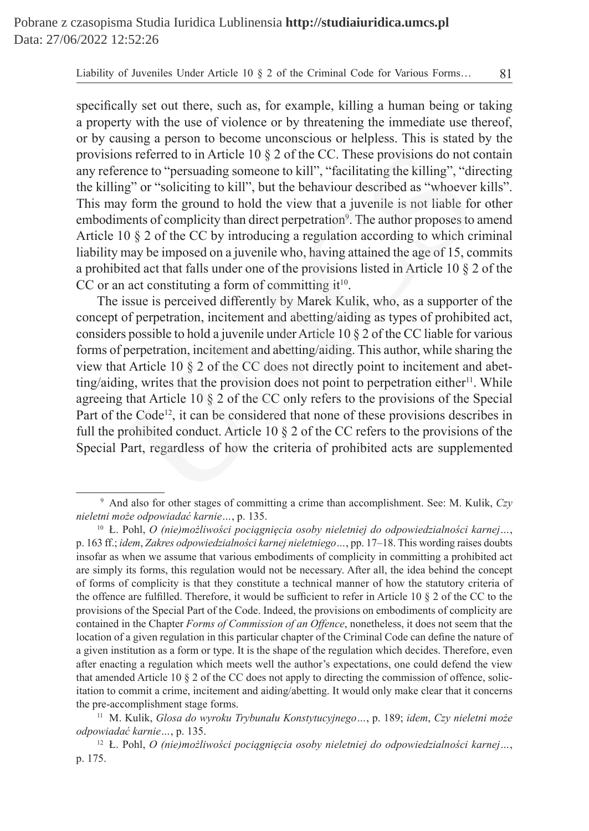specifically set out there, such as, for example, killing a human being or taking a property with the use of violence or by threatening the immediate use thereof, or by causing a person to become unconscious or helpless. This is stated by the provisions referred to in Article 10 § 2 of the CC. These provisions do not contain any reference to "persuading someone to kill", "facilitating the killing", "directing the killing" or "soliciting to kill", but the behaviour described as "whoever kills". This may form the ground to hold the view that a juvenile is not liable for other embodiments of complicity than direct perpetration<sup>9</sup>. The author proposes to amend Article 10 § 2 of the CC by introducing a regulation according to which criminal liability may be imposed on a juvenile who, having attained the age of 15, commits a prohibited act that falls under one of the provisions listed in Article 10 § 2 of the CC or an act constituting a form of committing  $it^{10}$ .

The issue is perceived differently by Marek Kulik, who, as a supporter of the concept of perpetration, incitement and abetting/aiding as types of prohibited act, considers possible to hold a juvenile under Article 10 § 2 of the CC liable for various forms of perpetration, incitement and abetting/aiding. This author, while sharing the view that Article 10 § 2 of the CC does not directly point to incitement and abetting/aiding, writes that the provision does not point to perpetration either $\mathbf{1}^1$ . While agreeing that Article 10 § 2 of the CC only refers to the provisions of the Special Part of the Code<sup>12</sup>, it can be considered that none of these provisions describes in full the prohibited conduct. Article 10 § 2 of the CC refers to the provisions of the Special Part, regardless of how the criteria of prohibited acts are supplemented ns referred to in Article 10 § 2 of the CC. These provisions do not cence to "persuading someone to kill", "facilitating the killing", "ding" or "soliciting to kill", but the behaviour described as "whoever form the groun

<sup>9</sup> And also for other stages of committing a crime than accomplishment. See: M. Kulik, *Czy nieletni może odpowiadać karnie…*, p. 135.

<sup>10</sup> Ł. Pohl, *O (nie)możliwości pociągnięcia osoby nieletniej do odpowiedzialności karnej…*, p. 163 ff.; *idem*, *Zakres odpowiedzialności karnej nieletniego…*, pp. 17–18. This wording raises doubts insofar as when we assume that various embodiments of complicity in committing a prohibited act are simply its forms, this regulation would not be necessary. After all, the idea behind the concept of forms of complicity is that they constitute a technical manner of how the statutory criteria of the offence are fulfilled. Therefore, it would be sufficient to refer in Article 10 § 2 of the CC to the provisions of the Special Part of the Code. Indeed, the provisions on embodiments of complicity are contained in the Chapter *Forms of Commission of an Offence*, nonetheless, it does not seem that the location of a given regulation in this particular chapter of the Criminal Code can define the nature of a given institution as a form or type. It is the shape of the regulation which decides. Therefore, even after enacting a regulation which meets well the author's expectations, one could defend the view that amended Article 10 § 2 of the CC does not apply to directing the commission of offence, solicitation to commit a crime, incitement and aiding/abetting. It would only make clear that it concerns the pre-accomplishment stage forms.

<sup>11</sup> M. Kulik, *Glosa do wyroku Trybunału Konstytucyjnego…*, p. 189; *idem*, *Czy nieletni może odpowiadać karnie…*, p. 135.

<sup>12</sup> Ł. Pohl, *O (nie)możliwości pociągnięcia osoby nieletniej do odpowiedzialności karnej…*, p. 175.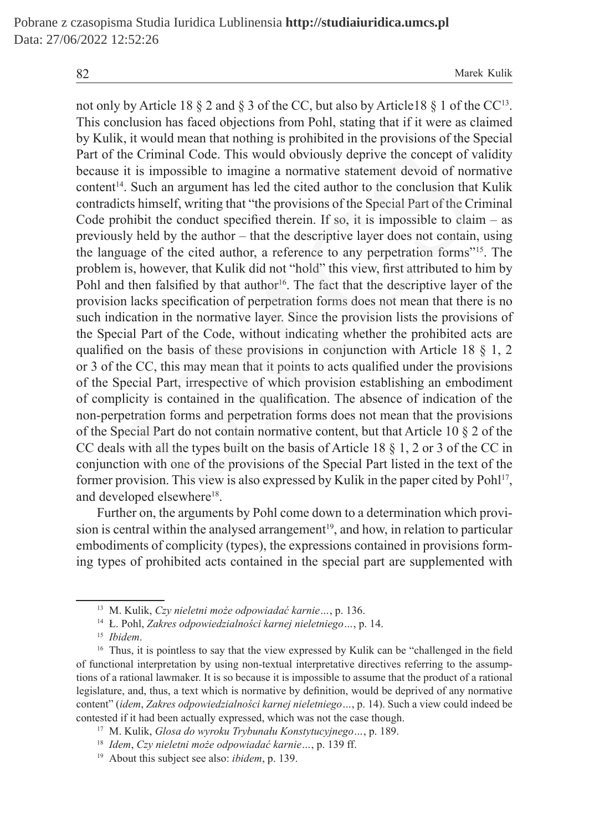not only by Article 18  $\S$  2 and  $\S$  3 of the CC, but also by Article18  $\S$  1 of the CC<sup>13</sup>. This conclusion has faced objections from Pohl, stating that if it were as claimed by Kulik, it would mean that nothing is prohibited in the provisions of the Special Part of the Criminal Code. This would obviously deprive the concept of validity because it is impossible to imagine a normative statement devoid of normative content14. Such an argument has led the cited author to the conclusion that Kulik contradicts himself, writing that "the provisions of the Special Part of the Criminal Code prohibit the conduct specified therein. If so, it is impossible to claim  $-$  as previously held by the author – that the descriptive layer does not contain, using the language of the cited author, a reference to any perpetration forms"15. The problem is, however, that Kulik did not "hold" this view, first attributed to him by Pohl and then falsified by that author<sup>16</sup>. The fact that the descriptive layer of the provision lacks specification of perpetration forms does not mean that there is no such indication in the normative layer. Since the provision lists the provisions of the Special Part of the Code, without indicating whether the prohibited acts are qualified on the basis of these provisions in conjunction with Article 18  $\S$  1, 2 or 3 of the CC, this may mean that it points to acts qualified under the provisions of the Special Part, irrespective of which provision establishing an embodiment of complicity is contained in the qualification. The absence of indication of the non-perpetration forms and perpetration forms does not mean that the provisions of the Special Part do not contain normative content, but that Article 10 § 2 of the CC deals with all the types built on the basis of Article 18 § 1, 2 or 3 of the CC in conjunction with one of the provisions of the Special Part listed in the text of the former provision. This view is also expressed by Kulik in the paper cited by Pohl17, and developed elsewhere<sup>18</sup>. he Criminal Code. This would obviously deprive the concept of v<br>it is impossible to imagine a normative statement devoid of nor<br>'. Such an argument has led the cited author to the conclusion that<br>the limself, writing that

Further on, the arguments by Pohl come down to a determination which provision is central within the analysed arrangement<sup>19</sup>, and how, in relation to particular embodiments of complicity (types), the expressions contained in provisions forming types of prohibited acts contained in the special part are supplemented with

<sup>13</sup> M. Kulik, *Czy nieletni może odpowiadać karnie…*, p. 136.

<sup>14</sup> Ł. Pohl, *Zakres odpowiedzialności karnej nieletniego…*, p. 14.

<sup>15</sup> *Ibidem*.

<sup>&</sup>lt;sup>16</sup> Thus, it is pointless to say that the view expressed by Kulik can be "challenged in the field of functional interpretation by using non-textual interpretative directives referring to the assumptions of a rational lawmaker. It is so because it is impossible to assume that the product of a rational legislature, and, thus, a text which is normative by definition, would be deprived of any normative content" (*idem*, *Zakres odpowiedzialności karnej nieletniego…*, p. 14). Such a view could indeed be contested if it had been actually expressed, which was not the case though.

<sup>17</sup> M. Kulik, *Glosa do wyroku Trybunału Konstytucyjnego…*, p. 189.

<sup>18</sup> *Idem*, *Czy nieletni może odpowiadać karnie…*, p. 139 ff.

<sup>19</sup> About this subject see also: *ibidem*, p. 139.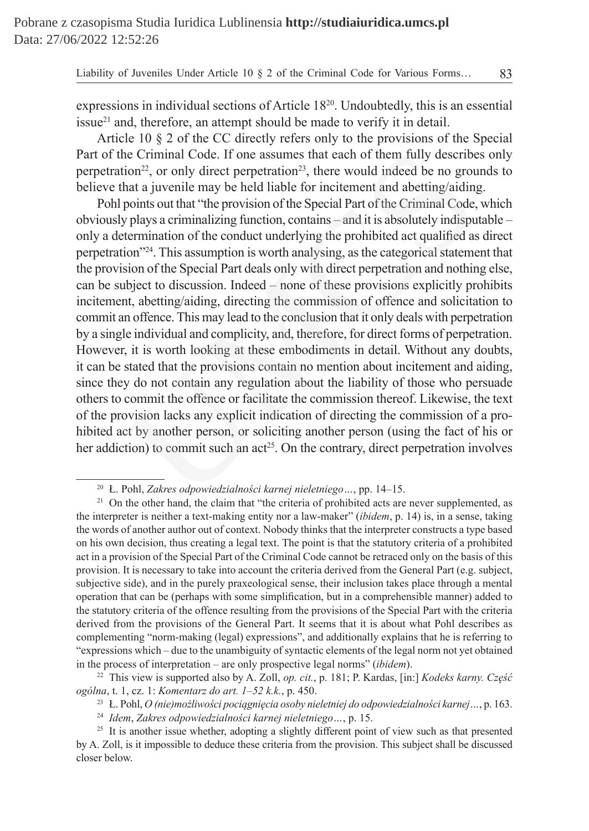expressions in individual sections of Article 1820. Undoubtedly, this is an essential issue $^{21}$  and, therefore, an attempt should be made to verify it in detail.

Article 10 § 2 of the CC directly refers only to the provisions of the Special Part of the Criminal Code. If one assumes that each of them fully describes only perpetration<sup>22</sup>, or only direct perpetration<sup>23</sup>, there would indeed be no grounds to believe that a juvenile may be held liable for incitement and abetting/aiding.

Pohl points out that "the provision of the Special Part of the Criminal Code, which obviously plays a criminalizing function, contains – and it is absolutely indisputable – only a determination of the conduct underlying the prohibited act qualified as direct perpetration"24. This assumption is worth analysing, as the categorical statement that the provision of the Special Part deals only with direct perpetration and nothing else, can be subject to discussion. Indeed – none of these provisions explicitly prohibits incitement, abetting/aiding, directing the commission of offence and solicitation to commit an offence. This may lead to the conclusion that it only deals with perpetration by a single individual and complicity, and, therefore, for direct forms of perpetration. However, it is worth looking at these embodiments in detail. Without any doubts, it can be stated that the provisions contain no mention about incitement and aiding, since they do not contain any regulation about the liability of those who persuade others to commit the offence or facilitate the commission thereof. Likewise, the text of the provision lacks any explicit indication of directing the commission of a prohibited act by another person, or soliciting another person (using the fact of his or her addiction) to commit such an  $act^{25}$ . On the contrary, direct perpetration involves the Criminal Code. If one assumes that each of them fully describe<br>tion<sup>22</sup>, or only direct perpetration<sup>23</sup>, there would indeed be no grou<br>hat a juvenile may be held liable for incitement and abetting/aidin,<br>points out t

<sup>24</sup> *Idem*, *Zakres odpowiedzialności karnej nieletniego…*, p. 15.

<sup>20</sup> Ł. Pohl, *Zakres odpowiedzialności karnej nieletniego…*, pp. 14–15.

<sup>&</sup>lt;sup>21</sup> On the other hand, the claim that "the criteria of prohibited acts are never supplemented, as the interpreter is neither a text-making entity nor a law-maker" (*ibidem*, p. 14) is, in a sense, taking the words of another author out of context. Nobody thinks that the interpreter constructs a type based on his own decision, thus creating a legal text. The point is that the statutory criteria of a prohibited act in a provision of the Special Part of the Criminal Code cannot be retraced only on the basis of this provision. It is necessary to take into account the criteria derived from the General Part (e.g. subject, subjective side), and in the purely praxeological sense, their inclusion takes place through a mental operation that can be (perhaps with some simplification, but in a comprehensible manner) added to the statutory criteria of the offence resulting from the provisions of the Special Part with the criteria derived from the provisions of the General Part. It seems that it is about what Pohl describes as complementing "norm-making (legal) expressions", and additionally explains that he is referring to "expressions which – due to the unambiguity of syntactic elements of the legal norm not yet obtained in the process of interpretation – are only prospective legal norms" (*ibidem*).

<sup>22</sup> This view is supported also by A. Zoll, *op. cit.*, p. 181; P. Kardas, [in:] *Kodeks karny. Część ogólna*, t. 1, cz. 1: *Komentarz do art. 1–52 k.k.*, p. 450.

<sup>23</sup> Ł. Pohl, *O (nie)możliwości pociągnięcia osoby nieletniej do odpowiedzialności karnej…*, p. 163.

<sup>&</sup>lt;sup>25</sup> It is another issue whether, adopting a slightly different point of view such as that presented by A. Zoll, is it impossible to deduce these criteria from the provision. This subject shall be discussed closer below.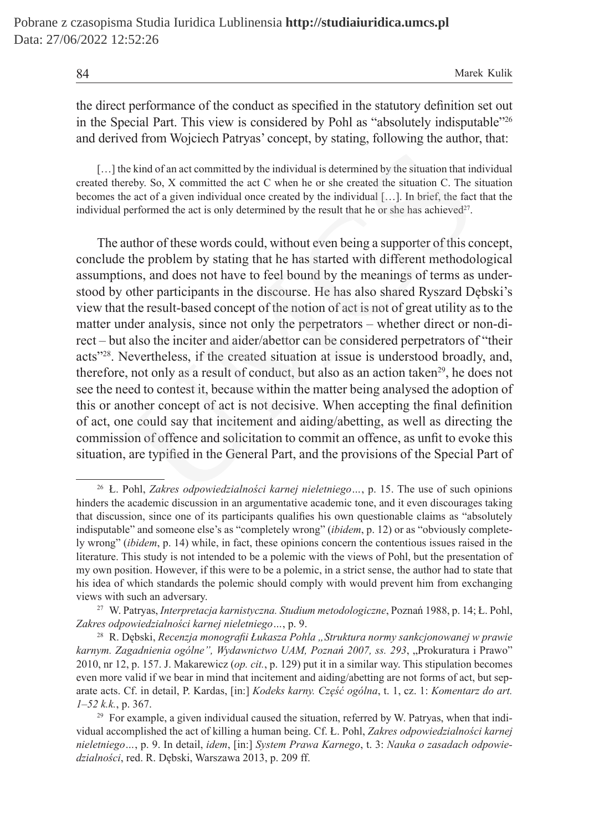the direct performance of the conduct as specified in the statutory definition set out in the Special Part. This view is considered by Pohl as "absolutely indisputable"26 and derived from Wojciech Patryas' concept, by stating, following the author, that:

[...] the kind of an act committed by the individual is determined by the situation that individual created thereby. So, X committed the act C when he or she created the situation C. The situation becomes the act of a given individual once created by the individual […]. In brief, the fact that the individual performed the act is only determined by the result that he or she has achieved $27$ .

The author of these words could, without even being a supporter of this concept, conclude the problem by stating that he has started with different methodological assumptions, and does not have to feel bound by the meanings of terms as understood by other participants in the discourse. He has also shared Ryszard Dębski's view that the result-based concept of the notion of act is not of great utility as to the matter under analysis, since not only the perpetrators – whether direct or non-direct – but also the inciter and aider/abettor can be considered perpetrators of "their acts"28. Nevertheless, if the created situation at issue is understood broadly, and, therefore, not only as a result of conduct, but also as an action taken<sup>29</sup>, he does not see the need to contest it, because within the matter being analysed the adoption of this or another concept of act is not decisive. When accepting the final definition of act, one could say that incitement and aiding/abetting, as well as directing the commission of offence and solicitation to commit an offence, as unfit to evoke this situation, are typified in the General Part, and the provisions of the Special Part of the kind of an act committed by the individual is determined by the situation that in<br>ereby. So, X committed the act C when he or she created the situation C. The she act of a given individual once created by the individua

<sup>26</sup> Ł. Pohl, *Zakres odpowiedzialności karnej nieletniego…*, p. 15. The use of such opinions hinders the academic discussion in an argumentative academic tone, and it even discourages taking that discussion, since one of its participants qualifies his own questionable claims as "absolutely indisputable" and someone else's as "completely wrong" (*ibidem*, p. 12) or as "obviously completely wrong" (*ibidem*, p. 14) while, in fact, these opinions concern the contentious issues raised in the literature. This study is not intended to be a polemic with the views of Pohl, but the presentation of my own position. However, if this were to be a polemic, in a strict sense, the author had to state that his idea of which standards the polemic should comply with would prevent him from exchanging views with such an adversary.

<sup>27</sup> W. Patryas, *Interpretacja karnistyczna. Studium metodologiczne*, Poznań 1988, p. 14; Ł. Pohl, *Zakres odpowiedzialności karnej nieletniego…*, p. 9.

<sup>28</sup> R. Dębski, *Recenzja monografii Łukasza Pohla "Struktura normy sankcjonowanej w prawie*  karnym. Zagadnienia ogólne", Wydawnictwo UAM, Poznań 2007, ss. 293, "Prokuratura i Prawo" 2010, nr 12, p. 157. J. Makarewicz (*op. cit.*, p. 129) put it in a similar way. This stipulation becomes even more valid if we bear in mind that incitement and aiding/abetting are not forms of act, but separate acts. Cf. in detail, P. Kardas, [in:] *Kodeks karny. Część ogólna*, t. 1, cz. 1: *Komentarz do art. 1–52 k.k.*, p. 367.

 $29$  For example, a given individual caused the situation, referred by W. Patryas, when that individual accomplished the act of killing a human being. Cf. Ł. Pohl, *Zakres odpowiedzialności karnej nieletniego…*, p. 9. In detail, *idem*, [in:] *System Prawa Karnego*, t. 3: *Nauka o zasadach odpowiedzialności*, red. R. Dębski, Warszawa 2013, p. 209 ff.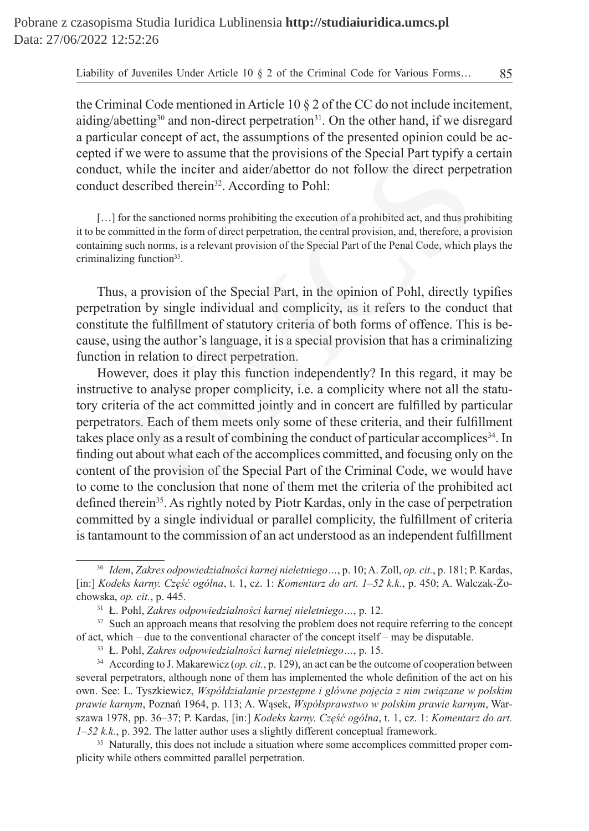the Criminal Code mentioned in Article 10 § 2 of the CC do not include incitement, aiding/abetting<sup>30</sup> and non-direct perpetration<sup>31</sup>. On the other hand, if we disregard a particular concept of act, the assumptions of the presented opinion could be accepted if we were to assume that the provisions of the Special Part typify a certain conduct, while the inciter and aider/abettor do not follow the direct perpetration conduct described therein<sup>32</sup>. According to Pohl:

[...] for the sanctioned norms prohibiting the execution of a prohibited act, and thus prohibiting it to be committed in the form of direct perpetration, the central provision, and, therefore, a provision containing such norms, is a relevant provision of the Special Part of the Penal Code, which plays the criminalizing function<sup>33</sup>.

Thus, a provision of the Special Part, in the opinion of Pohl, directly typifies perpetration by single individual and complicity, as it refers to the conduct that constitute the fulfillment of statutory criteria of both forms of offence. This is because, using the author's language, it is a special provision that has a criminalizing function in relation to direct perpetration.

However, does it play this function independently? In this regard, it may be instructive to analyse proper complicity, i.e. a complicity where not all the statutory criteria of the act committed jointly and in concert are fulfilled by particular perpetrators. Each of them meets only some of these criteria, and their fulfillment takes place only as a result of combining the conduct of particular accomplices<sup>34</sup>. In finding out about what each of the accomplices committed, and focusing only on the content of the provision of the Special Part of the Criminal Code, we would have to come to the conclusion that none of them met the criteria of the prohibited act defined therein<sup>35</sup>. As rightly noted by Piotr Kardas, only in the case of perpetration committed by a single individual or parallel complicity, the fulfillment of criteria is tantamount to the commission of an act understood as an independent fulfillment The Special Part typify a while the inciter and aider/abettor do not follow the direct perper-<br>the inciter and aider/abettor do not follow the direct perper-<br>described therein<sup>32</sup>. According to Pohl:<br>or the sanctioned norm

<sup>30</sup> *Idem*, *Zakres odpowiedzialności karnej nieletniego…*, p. 10; A. Zoll, *op. cit.*, p. 181; P. Kardas, [in:] *Kodeks karny. Część ogólna*, t. 1, cz. 1: *Komentarz do art. 1–52 k.k.*, p. 450; A. Walczak-Żochowska, *op. cit.*, p. 445.

<sup>31</sup> Ł. Pohl, *Zakres odpowiedzialności karnej nieletniego…*, p. 12.

<sup>&</sup>lt;sup>32</sup> Such an approach means that resolving the problem does not require referring to the concept of act, which – due to the conventional character of the concept itself – may be disputable.

<sup>33</sup> Ł. Pohl, *Zakres odpowiedzialności karnej nieletniego…*, p. 15.

<sup>&</sup>lt;sup>34</sup> According to J. Makarewicz (*op. cit.*, p. 129), an act can be the outcome of cooperation between several perpetrators, although none of them has implemented the whole definition of the act on his own. See: L. Tyszkiewicz, *Współdziałanie przestępne i główne pojęcia z nim związane w polskim prawie karnym*, Poznań 1964, p. 113; A. Wąsek, *Współsprawstwo w polskim prawie karnym*, Warszawa 1978, pp. 36–37; P. Kardas, [in:] *Kodeks karny. Część ogólna*, t. 1, cz. 1: *Komentarz do art. 1–52 k.k.*, p. 392. The latter author uses a slightly different conceptual framework.

<sup>&</sup>lt;sup>35</sup> Naturally, this does not include a situation where some accomplices committed proper complicity while others committed parallel perpetration.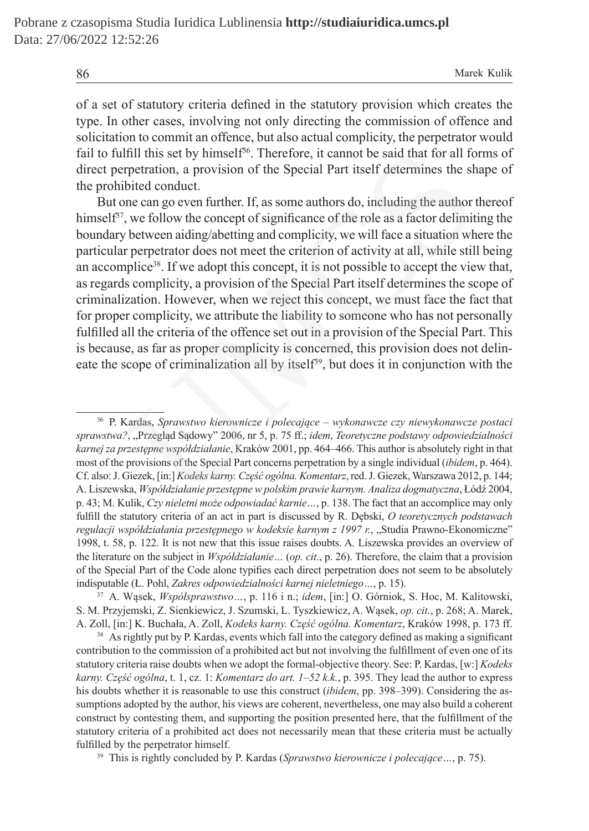of a set of statutory criteria defined in the statutory provision which creates the type. In other cases, involving not only directing the commission of offence and solicitation to commit an offence, but also actual complicity, the perpetrator would fail to fulfill this set by himself<sup>36</sup>. Therefore, it cannot be said that for all forms of direct perpetration, a provision of the Special Part itself determines the shape of the prohibited conduct.

But one can go even further. If, as some authors do, including the author thereof himself<sup>37</sup>, we follow the concept of significance of the role as a factor delimiting the boundary between aiding/abetting and complicity, we will face a situation where the particular perpetrator does not meet the criterion of activity at all, while still being an accomplice<sup>38</sup>. If we adopt this concept, it is not possible to accept the view that, as regards complicity, a provision of the Special Part itself determines the scope of criminalization. However, when we reject this concept, we must face the fact that for proper complicity, we attribute the liability to someone who has not personally fulfilled all the criteria of the offence set out in a provision of the Special Part. This is because, as far as proper complicity is concerned, this provision does not delineate the scope of criminalization all by itself<sup>39</sup>, but does it in conjunction with the Ifill this set by himself<sup>36</sup>. Therefore, it cannot be said that for all for<br>pretration, a provision of the Special Part itself determines the sh<br>bitted conduct.<br>One can go even further. If, as some authors do, including

<sup>36</sup> P. Kardas, *Sprawstwo kierownicze i polecające – wykonawcze czy niewykonawcze postaci sprawstwa?*, "Przegląd Sądowy" 2006, nr 5, p. 75 ff.; *idem*, *Teoretyczne podstawy odpowiedzialności karnej za przestępne współdziałanie*, Kraków 2001, pp. 464–466. This author is absolutely right in that most of the provisions of the Special Part concerns perpetration by a single individual (*ibidem*, p. 464). Cf. also: J. Giezek, [in:] *Kodeks karny. Część ogólna. Komentarz*, red. J. Giezek, Warszawa 2012, p. 144; A. Liszewska, *Współdziałanie przestępne w polskim prawie karnym. Analiza dogmatyczna*, Łódź 2004, p. 43; M. Kulik, *Czy nieletni może odpowiadać karnie…*, p. 138. The fact that an accomplice may only fulfill the statutory criteria of an act in part is discussed by R. Dębski, *O teoretycznych podstawach regulacji współdziałania przestępnego w kodeksie karnym z 1997 r.*, "Studia Prawno-Ekonomiczne" 1998, t. 58, p. 122. It is not new that this issue raises doubts. A. Liszewska provides an overview of the literature on the subject in *Współdziałanie…* (*op. cit.*, p. 26). Therefore, the claim that a provision of the Special Part of the Code alone typifies each direct perpetration does not seem to be absolutely indisputable (Ł. Pohl, *Zakres odpowiedzialności karnej nieletniego…*, p. 15).

<sup>37</sup> A. Wąsek, *Współsprawstwo…*, p. 116 i n.; *idem*, [in:] O. Górniok, S. Hoc, M. Kalitowski, S. M. Przyjemski, Z. Sienkiewicz, J. Szumski, L. Tyszkiewicz, A. Wąsek, *op. cit.*, p. 268; A. Marek, A. Zoll, [in:] K. Buchała, A. Zoll, *Kodeks karny. Część ogólna. Komentarz*, Kraków 1998, p. 173 ff.

<sup>&</sup>lt;sup>38</sup> As rightly put by P. Kardas, events which fall into the category defined as making a significant contribution to the commission of a prohibited act but not involving the fulfillment of even one of its statutory criteria raise doubts when we adopt the formal-objective theory. See: P. Kardas, [w:] *Kodeks karny. Część ogólna*, t. 1, cz. 1: *Komentarz do art. 1–52 k.k.*, p. 395. They lead the author to express his doubts whether it is reasonable to use this construct (*ibidem*, pp. 398–399). Considering the assumptions adopted by the author, his views are coherent, nevertheless, one may also build a coherent construct by contesting them, and supporting the position presented here, that the fulfillment of the statutory criteria of a prohibited act does not necessarily mean that these criteria must be actually fulfilled by the perpetrator himself.

<sup>39</sup> This is rightly concluded by P. Kardas (*Sprawstwo kierownicze i polecające…*, p. 75).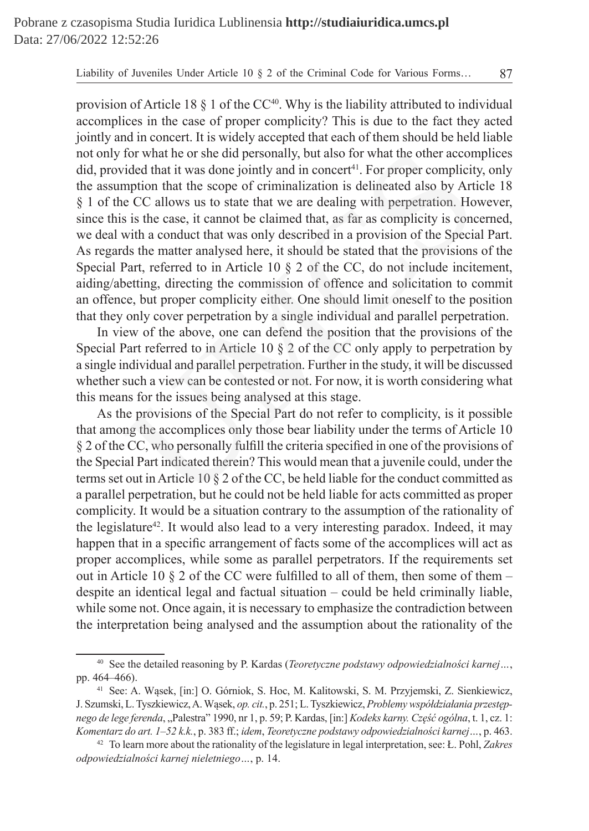provision of Article 18  $\S$  1 of the CC<sup>40</sup>. Why is the liability attributed to individual accomplices in the case of proper complicity? This is due to the fact they acted jointly and in concert. It is widely accepted that each of them should be held liable not only for what he or she did personally, but also for what the other accomplices  $\text{did}, \text{provided that it was done jointly and in  $\text{concert}^{41}$ . For proper complexity, only$ the assumption that the scope of criminalization is delineated also by Article 18 § 1 of the CC allows us to state that we are dealing with perpetration. However, since this is the case, it cannot be claimed that, as far as complicity is concerned, we deal with a conduct that was only described in a provision of the Special Part. As regards the matter analysed here, it should be stated that the provisions of the Special Part, referred to in Article 10 § 2 of the CC, do not include incitement, aiding/abetting, directing the commission of offence and solicitation to commit an offence, but proper complicity either. One should limit oneself to the position that they only cover perpetration by a single individual and parallel perpetration. for what he or she did personally, but also for what the other acconduced that it was done jointly and in concert<sup>41</sup>. For proper complicit motod that the scope of criminalization is delineated also by Article CC allows u

In view of the above, one can defend the position that the provisions of the Special Part referred to in Article 10 § 2 of the CC only apply to perpetration by a single individual and parallel perpetration. Further in the study, it will be discussed whether such a view can be contested or not. For now, it is worth considering what this means for the issues being analysed at this stage.

As the provisions of the Special Part do not refer to complicity, is it possible that among the accomplices only those bear liability under the terms of Article 10 § 2 of the CC, who personally fulfill the criteria specified in one of the provisions of the Special Part indicated therein? This would mean that a juvenile could, under the terms set out in Article 10 § 2 of the CC, be held liable for the conduct committed as a parallel perpetration, but he could not be held liable for acts committed as proper complicity. It would be a situation contrary to the assumption of the rationality of the legislature<sup>42</sup>. It would also lead to a very interesting paradox. Indeed, it may happen that in a specific arrangement of facts some of the accomplices will act as proper accomplices, while some as parallel perpetrators. If the requirements set out in Article 10  $\S$  2 of the CC were fulfilled to all of them, then some of them – despite an identical legal and factual situation – could be held criminally liable, while some not. Once again, it is necessary to emphasize the contradiction between the interpretation being analysed and the assumption about the rationality of the

<sup>40</sup> See the detailed reasoning by P. Kardas (*Teoretyczne podstawy odpowiedzialności karnej…*, pp. 464–466).

<sup>41</sup> See: A. Wąsek, [in:] O. Górniok, S. Hoc, M. Kalitowski, S. M. Przyjemski, Z. Sienkiewicz, J. Szumski, L.Tyszkiewicz, A.Wąsek, *op. cit.*, p. 251; L.Tyszkiewicz, *Problemy współdziałania przestępnego de lege ferenda*, "Palestra" 1990, nr 1, p. 59; P. Kardas, [in:] *Kodeks karny. Część ogólna*, t. 1, cz. 1: *Komentarz do art. 1–52 k.k.*, p. 383 ff.; *idem*, *Teoretyczne podstawy odpowiedzialności karnej…*, p. 463.

<sup>42</sup> To learn more about the rationality of the legislature in legal interpretation, see: Ł. Pohl, *Zakres odpowiedzialności karnej nieletniego…*, p. 14.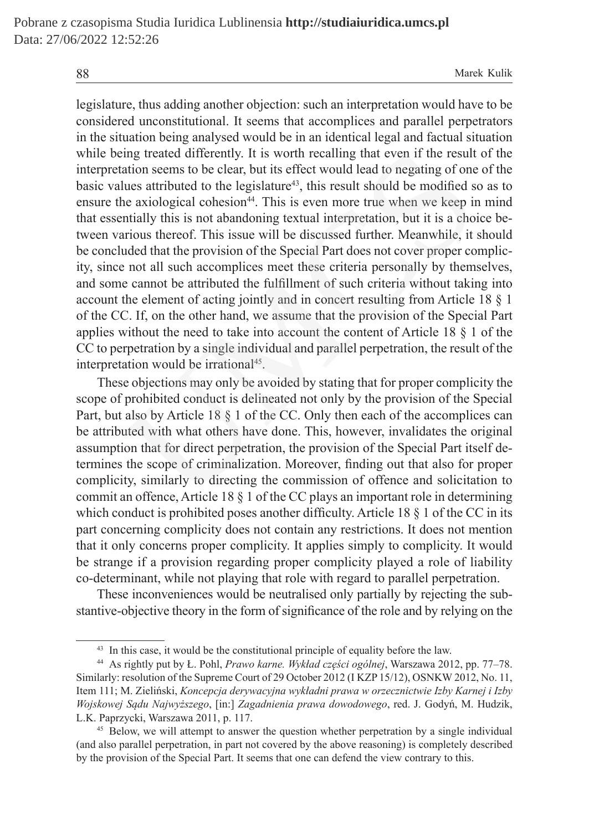legislature, thus adding another objection: such an interpretation would have to be considered unconstitutional. It seems that accomplices and parallel perpetrators in the situation being analysed would be in an identical legal and factual situation while being treated differently. It is worth recalling that even if the result of the interpretation seems to be clear, but its effect would lead to negating of one of the basic values attributed to the legislature<sup>43</sup>, this result should be modified so as to ensure the axiological cohesion<sup>44</sup>. This is even more true when we keep in mind that essentially this is not abandoning textual interpretation, but it is a choice between various thereof. This issue will be discussed further. Meanwhile, it should be concluded that the provision of the Special Part does not cover proper complicity, since not all such accomplices meet these criteria personally by themselves, and some cannot be attributed the fulfillment of such criteria without taking into account the element of acting jointly and in concert resulting from Article 18 § 1 of the CC. If, on the other hand, we assume that the provision of the Special Part applies without the need to take into account the content of Article 18 § 1 of the CC to perpetration by a single individual and parallel perpetration, the result of the interpretation would be irrational<sup>45</sup>. ing treated differently. It is worth recalling that even if the result<br>ation seems to be clear, but its effect would lead to negating of one<br>lues attributed to the legislature<sup>43</sup>, this result should be modired s<br>en exavo

These objections may only be avoided by stating that for proper complicity the scope of prohibited conduct is delineated not only by the provision of the Special Part, but also by Article 18 § 1 of the CC. Only then each of the accomplices can be attributed with what others have done. This, however, invalidates the original assumption that for direct perpetration, the provision of the Special Part itself determines the scope of criminalization. Moreover, finding out that also for proper complicity, similarly to directing the commission of offence and solicitation to commit an offence, Article 18 § 1 of the CC plays an important role in determining which conduct is prohibited poses another difficulty. Article 18 § 1 of the CC in its part concerning complicity does not contain any restrictions. It does not mention that it only concerns proper complicity. It applies simply to complicity. It would be strange if a provision regarding proper complicity played a role of liability co-determinant, while not playing that role with regard to parallel perpetration.

These inconveniences would be neutralised only partially by rejecting the substantive-objective theory in the form of significance of the role and by relying on the

<sup>43</sup> In this case, it would be the constitutional principle of equality before the law.

<sup>44</sup> As rightly put by Ł. Pohl, *Prawo karne. Wykład części ogólnej*, Warszawa 2012, pp. 77–78. Similarly: resolution of the Supreme Court of 29 October 2012 (I KZP 15/12), OSNKW 2012, No. 11, Item 111; M. Zieliński, *Koncepcja derywacyjna wykładni prawa w orzecznictwie Izby Karnej i Izby Wojskowej Sądu Najwyższego*, [in:] *Zagadnienia prawa dowodowego*, red. J. Godyń, M. Hudzik, L.K. Paprzycki, Warszawa 2011, p. 117.

<sup>&</sup>lt;sup>45</sup> Below, we will attempt to answer the question whether perpetration by a single individual (and also parallel perpetration, in part not covered by the above reasoning) is completely described by the provision of the Special Part. It seems that one can defend the view contrary to this.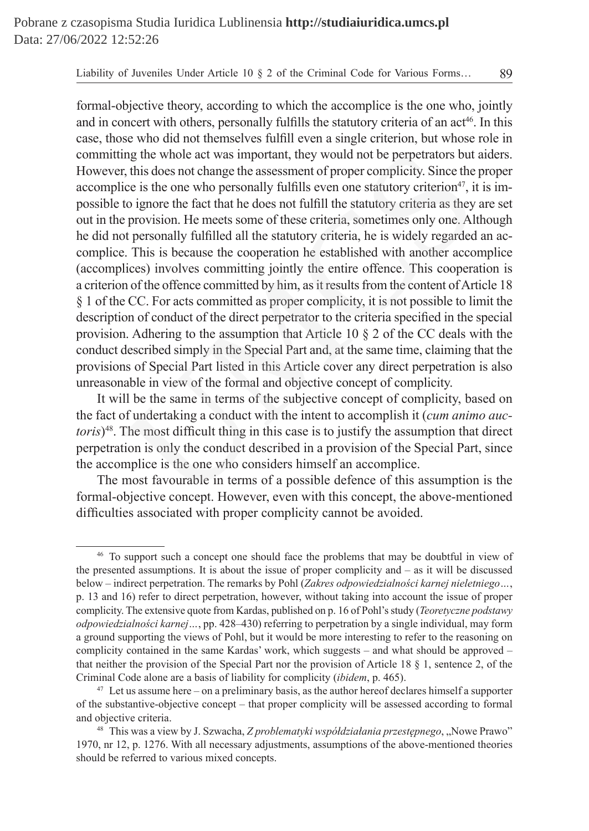formal-objective theory, according to which the accomplice is the one who, jointly and in concert with others, personally fulfills the statutory criteria of an  $act<sup>46</sup>$ . In this case, those who did not themselves fulfill even a single criterion, but whose role in committing the whole act was important, they would not be perpetrators but aiders. However, this does not change the assessment of proper complicity. Since the proper accomplice is the one who personally fulfills even one statutory criterion<sup>47</sup>, it is impossible to ignore the fact that he does not fulfill the statutory criteria as they are set out in the provision. He meets some of these criteria, sometimes only one. Although he did not personally fulfilled all the statutory criteria, he is widely regarded an accomplice. This is because the cooperation he established with another accomplice (accomplices) involves committing jointly the entire offence. This cooperation is a criterion of the offence committed by him, as it results from the content of Article 18 § 1 of the CC. For acts committed as proper complicity, it is not possible to limit the description of conduct of the direct perpetrator to the criteria specified in the special provision. Adhering to the assumption that Article 10 § 2 of the CC deals with the conduct described simply in the Special Part and, at the same time, claiming that the provisions of Special Part listed in this Article cover any direct perpetration is also unreasonable in view of the formal and objective concept of complicity. ing the whole act was important, they would not be perpetrators but<br>t, this does not change the assessment of proper complicity. Since the<br>ice is the one who personally fulfills even one statutory criterion<sup>47</sup>, it<br>to ign

It will be the same in terms of the subjective concept of complicity, based on the fact of undertaking a conduct with the intent to accomplish it (*cum animo auctoris*)48. The most difficult thing in this case is to justify the assumption that direct perpetration is only the conduct described in a provision of the Special Part, since the accomplice is the one who considers himself an accomplice.

The most favourable in terms of a possible defence of this assumption is the formal-objective concept. However, even with this concept, the above-mentioned difficulties associated with proper complicity cannot be avoided.

<sup>46</sup> To support such a concept one should face the problems that may be doubtful in view of the presented assumptions. It is about the issue of proper complicity and  $-$  as it will be discussed below – indirect perpetration. The remarks by Pohl (*Zakres odpowiedzialności karnej nieletniego…*, p. 13 and 16) refer to direct perpetration, however, without taking into account the issue of proper complicity. The extensive quote from Kardas, published on p. 16 of Pohl's study (*Teoretyczne podstawy odpowiedzialności karnej…*, pp. 428–430) referring to perpetration by a single individual, may form a ground supporting the views of Pohl, but it would be more interesting to refer to the reasoning on complicity contained in the same Kardas' work, which suggests – and what should be approved – that neither the provision of the Special Part nor the provision of Article 18 § 1, sentence 2, of the Criminal Code alone are a basis of liability for complicity (*ibidem*, p. 465).

 $47$  Let us assume here – on a preliminary basis, as the author hereof declares himself a supporter of the substantive-objective concept – that proper complicity will be assessed according to formal and objective criteria.

<sup>&</sup>lt;sup>48</sup> This was a view by J. Szwacha, *Z problematyki współdziałania przestępnego*, "Nowe Prawo" 1970, nr 12, p. 1276. With all necessary adjustments, assumptions of the above-mentioned theories should be referred to various mixed concepts.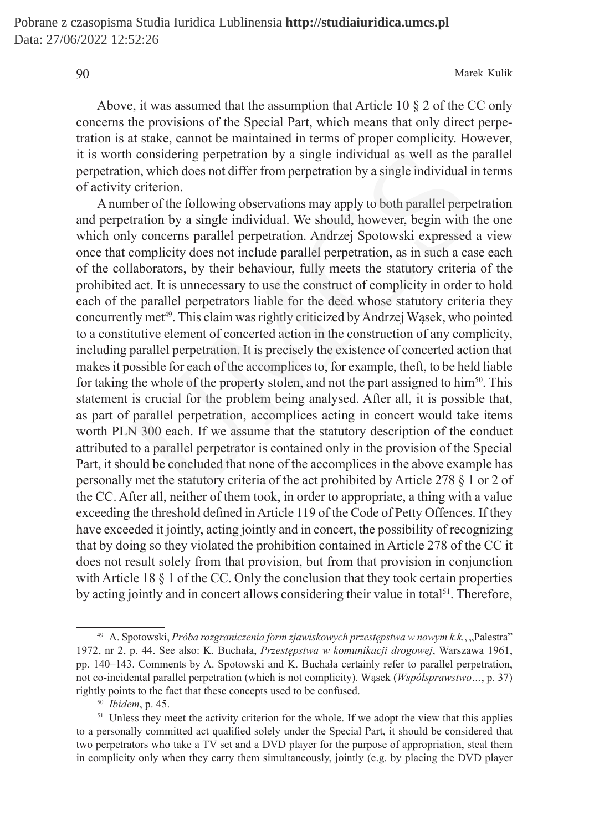Above, it was assumed that the assumption that Article 10 § 2 of the CC only concerns the provisions of the Special Part, which means that only direct perpetration is at stake, cannot be maintained in terms of proper complicity. However, it is worth considering perpetration by a single individual as well as the parallel perpetration, which does not differ from perpetration by a single individual in terms of activity criterion.

Anumber of the following observations may apply to both parallel perpetration and perpetration by a single individual. We should, however, begin with the one which only concerns parallel perpetration. Andrzej Spotowski expressed a view once that complicity does not include parallel perpetration, as in such a case each of the collaborators, by their behaviour, fully meets the statutory criteria of the prohibited act. It is unnecessary to use the construct of complicity in order to hold each of the parallel perpetrators liable for the deed whose statutory criteria they concurrently met<sup>49</sup>. This claim was rightly criticized by Andrzej Wąsek, who pointed to a constitutive element of concerted action in the construction of any complicity, including parallel perpetration. It is precisely the existence of concerted action that makes it possible for each of the accomplices to, for example, theft, to be held liable for taking the whole of the property stolen, and not the part assigned to  $\lim_{50}$ . This statement is crucial for the problem being analysed. After all, it is possible that, as part of parallel perpetration, accomplices acting in concert would take items worth PLN 300 each. If we assume that the statutory description of the conduct attributed to a parallel perpetrator is contained only in the provision of the Special Part, it should be concluded that none of the accomplices in the above example has personally met the statutory criteria of the act prohibited by Article 278 § 1 or 2 of the CC. After all, neither of them took, in order to appropriate, a thing with a value exceeding the threshold defined in Article 119 of the Code of Petty Offences. If they have exceeded it jointly, acting jointly and in concert, the possibility of recognizing that by doing so they violated the prohibition contained in Article 278 of the CC it does not result solely from that provision, but from that provision in conjunction with Article 18  $\S$  1 of the CC. Only the conclusion that they took certain properties by acting jointly and in concert allows considering their value in total<sup>51</sup>. Therefore, th considering perpetration by a single individual as well as the p<br>tion, which does not differ from perpetration by a single individual it<br>y criterion.<br>there of the following observations may apply to both parallel perpe<br>

<sup>50</sup> *Ibidem*, p. 45.

<sup>&</sup>lt;sup>49</sup> A. Spotowski, Próba rozgraniczenia form zjawiskowych przestępstwa w nowym k.k., "Palestra" 1972, nr 2, p. 44. See also: K. Buchała, *Przestępstwa w komunikacji drogowej*, Warszawa 1961, pp. 140–143. Comments by A. Spotowski and K. Buchała certainly refer to parallel perpetration, not co-incidental parallel perpetration (which is not complicity). Wąsek (*Współsprawstwo…*, p. 37) rightly points to the fact that these concepts used to be confused.

<sup>&</sup>lt;sup>51</sup> Unless they meet the activity criterion for the whole. If we adopt the view that this applies to a personally committed act qualified solely under the Special Part, it should be considered that two perpetrators who take a TV set and a DVD player for the purpose of appropriation, steal them in complicity only when they carry them simultaneously, jointly (e.g. by placing the DVD player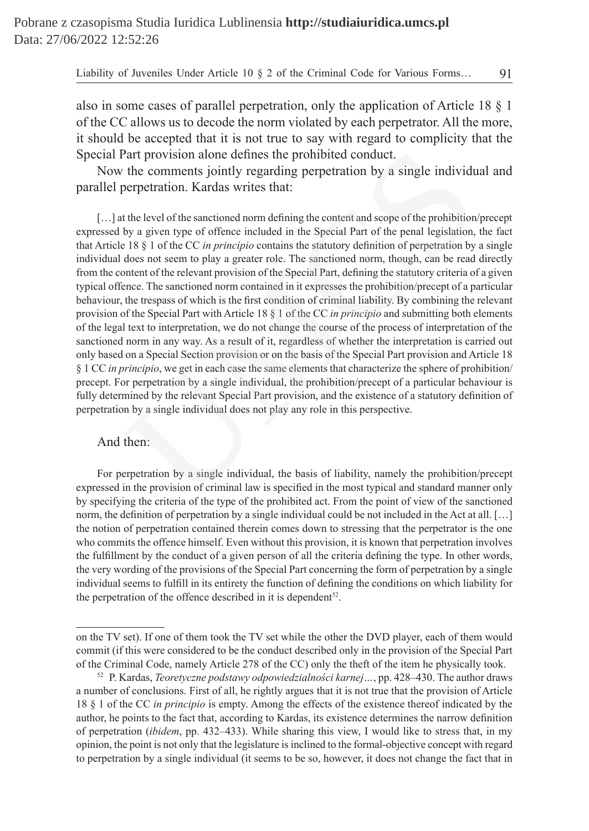also in some cases of parallel perpetration, only the application of Article 18 § 1 of the CC allows us to decode the norm violated by each perpetrator. All the more, it should be accepted that it is not true to say with regard to complicity that the Special Part provision alone defines the prohibited conduct.

Now the comments jointly regarding perpetration by a single individual and parallel perpetration. Kardas writes that:

[...] at the level of the sanctioned norm defining the content and scope of the prohibition/precept expressed by a given type of offence included in the Special Part of the penal legislation, the fact that Article 18 § 1 of the CC *in principio* contains the statutory definition of perpetration by a single individual does not seem to play a greater role. The sanctioned norm, though, can be read directly from the content of the relevant provision of the Special Part, defining the statutory criteria of a given typical offence. The sanctioned norm contained in it expresses the prohibition/precept of a particular behaviour, the trespass of which is the first condition of criminal liability. By combining the relevant provision of the Special Part with Article 18 § 1 of the CC *in principio* and submitting both elements of the legal text to interpretation, we do not change the course of the process of interpretation of the sanctioned norm in any way. As a result of it, regardless of whether the interpretation is carried out only based on a Special Section provision or on the basis of the Special Part provision and Article 18 § 1 CC *in principio*, we get in each case the same elements that characterize the sphere of prohibition/ precept. For perpetration by a single individual, the prohibition/precept of a particular behaviour is fully determined by the relevant Special Part provision, and the existence of a statutory definition of perpetration by a single individual does not play any role in this perspective. Part provision alone defines the prohibited conduct.<br>
the comments jointly regarding perpetration by a single individu<br>
perpetration. Kardas writes that:<br>
the level of the sanctioned norm defining the content and scope of

### And then:

For perpetration by a single individual, the basis of liability, namely the prohibition/precept expressed in the provision of criminal law is specified in the most typical and standard manner only by specifying the criteria of the type of the prohibited act. From the point of view of the sanctioned norm, the definition of perpetration by a single individual could be not included in the Act at all. […] the notion of perpetration contained therein comes down to stressing that the perpetrator is the one who commits the offence himself. Even without this provision, it is known that perpetration involves the fulfillment by the conduct of a given person of all the criteria defining the type. In other words, the very wording of the provisions of the Special Part concerning the form of perpetration by a single individual seems to fulfill in its entirety the function of defining the conditions on which liability for the perpetration of the offence described in it is dependent<sup>52</sup>.

on the TV set). If one of them took the TV set while the other the DVD player, each of them would commit (if this were considered to be the conduct described only in the provision of the Special Part of the Criminal Code, namely Article 278 of the CC) only the theft of the item he physically took.

<sup>52</sup> P. Kardas, *Teoretyczne podstawy odpowiedzialności karnej…*, pp. 428–430. The author draws a number of conclusions. First of all, he rightly argues that it is not true that the provision of Article 18 § 1 of the CC *in principio* is empty. Among the effects of the existence thereof indicated by the author, he points to the fact that, according to Kardas, its existence determines the narrow definition of perpetration (*ibidem*, pp. 432–433). While sharing this view, I would like to stress that, in my opinion, the point is not only that the legislature is inclined to the formal-objective concept with regard to perpetration by a single individual (it seems to be so, however, it does not change the fact that in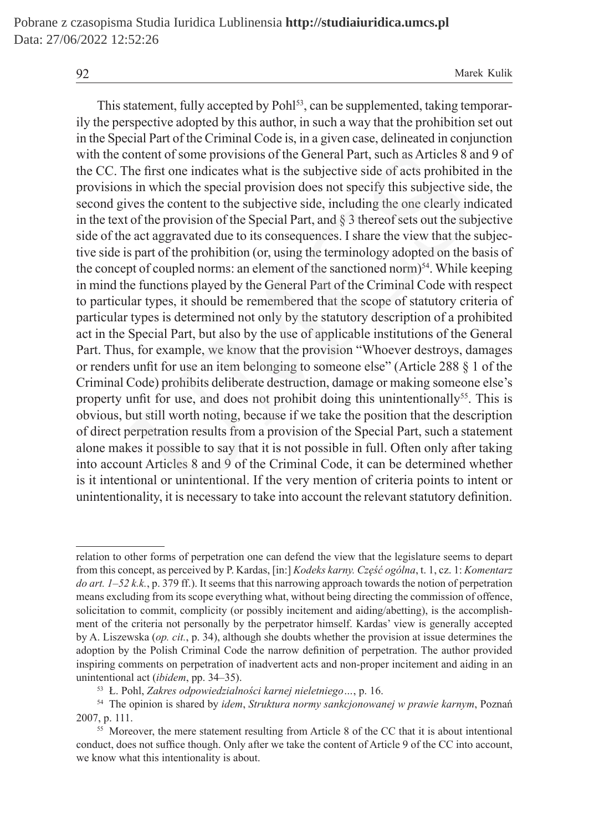This statement, fully accepted by Pohl<sup>53</sup>, can be supplemented, taking temporarily the perspective adopted by this author, in such a way that the prohibition set out in the Special Part of the Criminal Code is, in a given case, delineated in conjunction with the content of some provisions of the General Part, such as Articles 8 and 9 of the CC. The first one indicates what is the subjective side of acts prohibited in the provisions in which the special provision does not specify this subjective side, the second gives the content to the subjective side, including the one clearly indicated in the text of the provision of the Special Part, and § 3 thereof sets out the subjective side of the act aggravated due to its consequences. I share the view that the subjective side is part of the prohibition (or, using the terminology adopted on the basis of the concept of coupled norms: an element of the sanctioned norm)<sup>54</sup>. While keeping in mind the functions played by the General Part of the Criminal Code with respect to particular types, it should be remembered that the scope of statutory criteria of particular types is determined not only by the statutory description of a prohibited act in the Special Part, but also by the use of applicable institutions of the General Part. Thus, for example, we know that the provision "Whoever destroys, damages or renders unfit for use an item belonging to someone else" (Article 288 § 1 of the Criminal Code) prohibits deliberate destruction, damage or making someone else's property unfit for use, and does not prohibit doing this unintentionally<sup>55</sup>. This is obvious, but still worth noting, because if we take the position that the description of direct perpetration results from a provision of the Special Part, such a statement alone makes it possible to say that it is not possible in full. Often only after taking into account Articles 8 and 9 of the Criminal Code, it can be determined whether is it intentional or unintentional. If the very mention of criteria points to intent or unintentionality, it is necessary to take into account the relevant statutory definition. content of some provisions of the General Part, such as Articles 8 at<br>The first one indicates what is the subjective side of acts prohibited<br>ins in which the special provision does not specify this subjective si<br>ives the c

relation to other forms of perpetration one can defend the view that the legislature seems to depart from this concept, as perceived by P. Kardas, [in:] *Kodeks karny. Część ogólna*, t. 1, cz. 1: *Komentarz do art. 1–52 k.k.*, p. 379 ff.). It seems that this narrowing approach towards the notion of perpetration means excluding from its scope everything what, without being directing the commission of offence, solicitation to commit, complicity (or possibly incitement and aiding/abetting), is the accomplishment of the criteria not personally by the perpetrator himself. Kardas' view is generally accepted by A. Liszewska (*op. cit.*, p. 34), although she doubts whether the provision at issue determines the adoption by the Polish Criminal Code the narrow definition of perpetration. The author provided inspiring comments on perpetration of inadvertent acts and non-proper incitement and aiding in an unintentional act (*ibidem*, pp. 34–35).

<sup>53</sup> Ł. Pohl, *Zakres odpowiedzialności karnej nieletniego…*, p. 16.

<sup>54</sup> The opinion is shared by *idem*, *Struktura normy sankcjonowanej w prawie karnym*, Poznań 2007, p. 111.

<sup>&</sup>lt;sup>55</sup> Moreover, the mere statement resulting from Article 8 of the CC that it is about intentional conduct, does not suffice though. Only after we take the content of Article 9 of the CC into account, we know what this intentionality is about.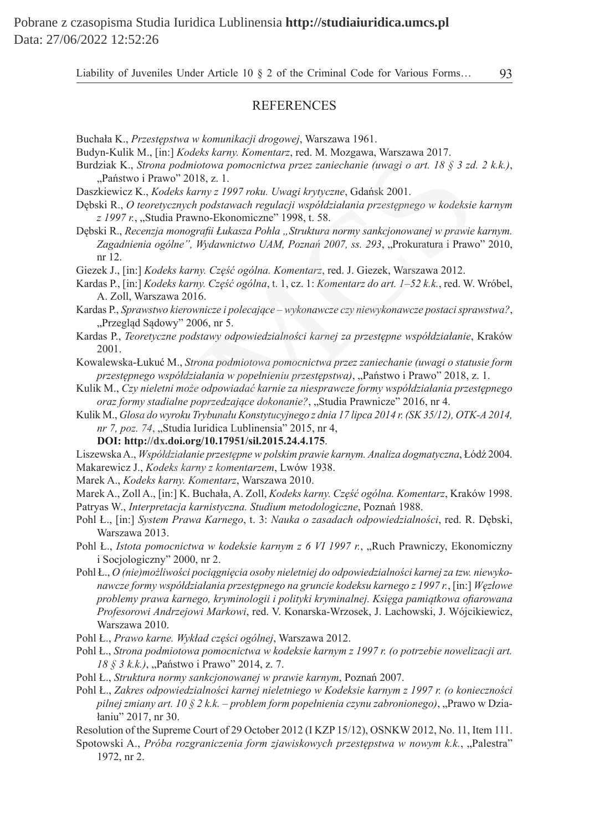# **REFERENCES**

- Buchała K., *Przestępstwa w komunikacji drogowej*, Warszawa 1961.
- Budyn-Kulik M., [in:] *Kodeks karny. Komentarz*, red. M. Mozgawa, Warszawa 2017.
- Burdziak K., *Strona podmiotowa pomocnictwa przez zaniechanie (uwagi o art. 18 § 3 zd. 2 k.k.)*, "Państwo i Prawo" 2018, z. 1.
- Daszkiewicz K., *Kodeks karny z 1997 roku. Uwagi krytyczne*, Gdańsk 2001.
- Dębski R., *O teoretycznych podstawach regulacji współdziałania przestępnego w kodeksie karnym z 1997 r.*, "Studia Prawno-Ekonomiczne" 1998, t. 58.
- Dębski R., *Recenzja monografii Łukasza Pohla "Struktura normy sankcjonowanej w prawie karnym.*  Zagadnienia ogólne", Wydawnictwo UAM, Poznań 2007, ss. 293, "Prokuratura i Prawo" 2010, nr 12. lik M., [in:] *Kodeks karmy. Komentarz*, red. M. Mozgawa, Warszawa 2017.<br>K., Strona podmiotowa pomocnictwa przez zaniechanie (uwagi o art. 18 § 3 zd.<br>K., Strona podmiotowa pomocnictwa przez zaniechanie (uwagi o art. 18 § 3
- Giezek J., [in:] *Kodeks karny. Część ogólna. Komentarz*, red. J. Giezek, Warszawa 2012.
- Kardas P., [in:] *Kodeks karny. Część ogólna*, t. 1, cz. 1: *Komentarz do art. 1–52 k.k.*, red. W. Wróbel, A. Zoll, Warszawa 2016.
- Kardas P., *Sprawstwo kierownicze i polecające wykonawcze czy niewykonawcze postaci sprawstwa?*, "Przegląd Sądowy" 2006, nr 5.
- Kardas P., *Teoretyczne podstawy odpowiedzialności karnej za przestępne współdziałanie*, Kraków 2001.
- Kowalewska-Łukuć M., *Strona podmiotowa pomocnictwa przez zaniechanie (uwagi o statusie form przestępnego współdziałania w popełnieniu przestępstwa)*, "Państwo i Prawo" 2018, z. 1.
- Kulik M., *Czy nieletni może odpowiadać karnie za niesprawcze formy współdziałania przestępnego oraz formy stadialne poprzedzające dokonanie?*, "Studia Prawnicze" 2016, nr 4.
- Kulik M., *Glosa do wyroku Trybunału Konstytucyjnego z dnia 17 lipca 2014 r. (SK 35/12), OTK-A 2014, nr 7, poz. 74*, "Studia Iuridica Lublinensia" 2015, nr 4,
	- **DOI: http://dx.doi.org/10.17951/sil.2015.24.4.175**.
- Liszewska A., *Współdziałanie przestępne w polskim prawie karnym. Analiza dogmatyczna*, Łódź 2004. Makarewicz J., *Kodeks karny z komentarzem*, Lwów 1938.
- Marek A., *Kodeks karny. Komentarz*, Warszawa 2010.
- 
- Marek A., Zoll A., [in:] K. Buchała, A. Zoll, *Kodeks karny. Część ogólna. Komentarz*, Kraków 1998. Patryas W., *Interpretacja karnistyczna. Studium metodologiczne*, Poznań 1988.
- Pohl Ł., [in:] *System Prawa Karnego*, t. 3: *Nauka o zasadach odpowiedzialności*, red. R. Dębski, Warszawa 2013.
- Pohl Ł., *Istota pomocnictwa w kodeksie karnym z 6 VI 1997 r.*, "Ruch Prawniczy, Ekonomiczny i Socjologiczny" 2000, nr 2.
- Pohl Ł., *O (nie)możliwości pociągnięcia osoby nieletniej do odpowiedzialności karnej za tzw. niewykonawcze formy współdziałania przestępnego na gruncie kodeksu karnego z 1997 r.*, [in:] *Węzłowe problemy prawa karnego, kryminologii i polityki kryminalnej. Księga pamiątkowa ofiarowana Profesorowi Andrzejowi Markowi*, red. V. Konarska-Wrzosek, J. Lachowski, J. Wójcikiewicz, Warszawa 2010.
- Pohl Ł., *Prawo karne. Wykład części ogólnej*, Warszawa 2012.
- Pohl Ł., *Strona podmiotowa pomocnictwa w kodeksie karnym z 1997 r. (o potrzebie nowelizacji art. 18 § 3 k.k.)*, "Państwo i Prawo" 2014, z. 7.
- Pohl Ł., *Struktura normy sankcjonowanej w prawie karnym*, Poznań 2007.
- Pohl Ł., *Zakres odpowiedzialności karnej nieletniego w Kodeksie karnym z 1997 r. (o konieczności pilnej zmiany art. 10 § 2 k.k. – problem form popełnienia czynu zabronionego)*, "Prawo w Działaniu" 2017, nr 30.
- Resolution of the Supreme Court of 29 October 2012 (I KZP 15/12), OSNKW 2012, No. 11, Item 111.
- Spotowski A., *Próba rozgraniczenia form zjawiskowych przestępstwa w nowym k.k.*, "Palestra" 1972, nr 2.